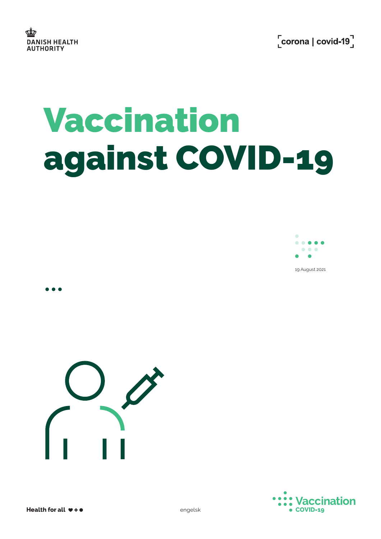# Vaccination against COVID-19



19 August 2021





 $\bullet\bullet\bullet$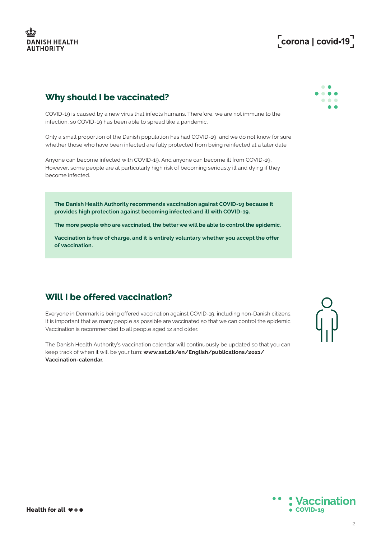## **DANISH HEALTH AUTHORITY**

## $\sqrt{\frac{1}{1}}$ corona | covid-19 $\sqrt{\frac{1}{1}}$

#### **Why should I be vaccinated?**

COVID-19 is caused by a new virus that infects humans. Therefore, we are not immune to the infection, so COVID-19 has been able to spread like a pandemic.

Only a small proportion of the Danish population has had COVID-19, and we do not know for sure whether those who have been infected are fully protected from being reinfected at a later date.

Anyone can become infected with COVID-19. And anyone can become ill from COVID-19. However, some people are at particularly high risk of becoming seriously ill and dying if they become infected.

**The Danish Health Authority recommends vaccination against COVID-19 because it provides high protection against becoming infected and ill with COVID-19.** 

**The more people who are vaccinated, the better we will be able to control the epidemic.** 

**Vaccination is free of charge, and it is entirely voluntary whether you accept the offer of vaccination.**

#### **Will I be offered vaccination?**

Everyone in Denmark is being offered vaccination against COVID-19, including non-Danish citizens. It is important that as many people as possible are vaccinated so that we can control the epidemic. Vaccination is recommended to all people aged 12 and older.

The Danish Health Authority's vaccination calendar will continuously be updated so that you can keep track of when it will be your turn: **[www.sst.dk/en/English/publications/2021/](http://www.sst.dk/en/English/publications/2021/Vaccination-calendar) [Vaccination-calendar](http://www.sst.dk/en/English/publications/2021/Vaccination-calendar)**.





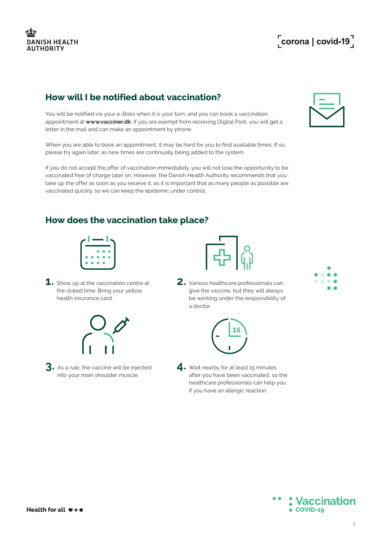## **How will I be notified about vaccination?**

You will be notified via your e-Boks when it is your turn, and you can book a vaccination appointment at **[www.vacciner.dk](http://www.vacciner.dk)**. If you are exempt from receiving Digital Post, you will get a letter in the mail and can make an appointment by phone.

When you are able to book an appointment, it may be hard for you to find available times. If so, please try again later, as new times are continually being added to the system.

If you do not accept the offer of vaccination immediately, you will not lose the opportunity to be vaccinated free of charge later on. However, the Danish Health Authority recommends that you take up the offer as soon as you receive it, as it is important that as many people as possible are vaccinated quickly so we can keep the epidemic under control.

#### **How does the vaccination take place?**

| ٦<br>Ξ<br>┓<br>٦<br>Ξ<br><b>Service Service</b><br>Ξ<br>Ξ<br><b>Service Service</b> |  |
|-------------------------------------------------------------------------------------|--|
|                                                                                     |  |
|                                                                                     |  |
|                                                                                     |  |

**1.** Show up at the vaccination centre at the stated time. Bring your yellow health insurance card.



**3.** As a rule, the vaccine will be injected into your main shoulder muscle.



**2.** Various healthcare professionals can give the vaccine, but they will always be working under the responsibility of a doctor.



4. Wait nearby for at least 15 minutes after you have been vaccinated, so the healthcare professionals can help you if you have an allergic reaction.





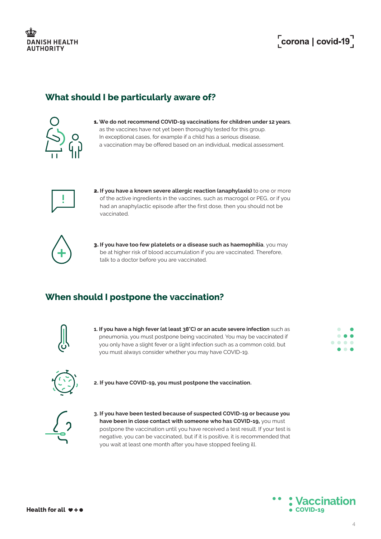# $\sqrt{\frac{1}{1}}$ corona | covid-19 $\sqrt{\frac{1}{1}}$

### **What should I be particularly aware of?**



1. **We do not recommend COVID-19 vaccinations for children under 12 years**, as the vaccines have not yet been thoroughly tested for this group. In exceptional cases, for example if a child has a serious disease, a vaccination may be offered based on an individual, medical assessment.



2. **If you have a known severe allergic reaction (anaphylaxis)** to one or more of the active ingredients in the vaccines, such as macrogol or PEG, or if you had an anaphylactic episode after the first dose, then you should not be vaccinated.



3. **If you have too few platelets or a disease such as haemophilia**, you may be at higher risk of blood accumulation if you are vaccinated. Therefore, talk to a doctor before you are vaccinated.

#### **When should I postpone the vaccination?**



**1. If you have a high fever (at least 38°C) or an acute severe infection** such as pneumonia, you must postpone being vaccinated. You may be vaccinated if you only have a slight fever or a light infection such as a common cold, but you must always consider whether you may have COVID-19.





**2. If you have COVID-19, you must postpone the vaccination.** 



3. If you have been tested because of suspected COVID-19 or because you **have been in close contact with someone who has COVID-19,** you must postpone the vaccination until you have received a test result. If your test is negative, you can be vaccinated, but if it is positive, it is recommended that you wait at least one month after you have stopped feeling ill.

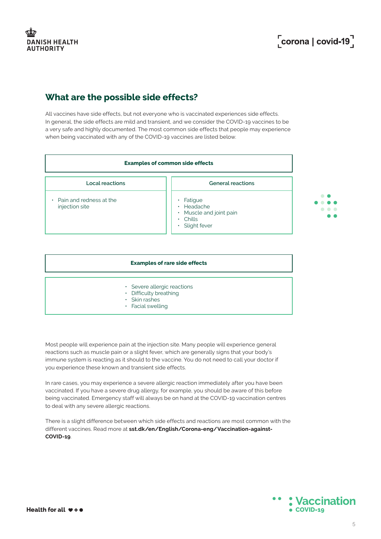#### **What are the possible side effects?**

All vaccines have side effects, but not everyone who is vaccinated experiences side effects. In general, the side effects are mild and transient, and we consider the COVID-19 vaccines to be a very safe and highly documented. The most common side effects that people may experience when being vaccinated with any of the COVID-19 vaccines are listed below.



|                                                                                                   | <b>Examples of rare side effects</b> |
|---------------------------------------------------------------------------------------------------|--------------------------------------|
| • Severe allergic reactions<br>• Difficulty breathing<br>$\cdot$ Skin rashes<br>• Facial swelling |                                      |

Most people will experience pain at the injection site. Many people will experience general reactions such as muscle pain or a slight fever, which are generally signs that your body's immune system is reacting as it should to the vaccine. You do not need to call your doctor if you experience these known and transient side effects.

In rare cases, you may experience a severe allergic reaction immediately after you have been vaccinated. If you have a severe drug allergy, for example, you should be aware of this before being vaccinated. Emergency staff will always be on hand at the COVID-19 vaccination centres to deal with any severe allergic reactions.

There is a slight difference between which side effects and reactions are most common with the different vaccines. Read more at **[sst.dk/en/English/Corona-eng/Vaccination-against-](http://sst.dk/en/English/Corona-eng/Vaccination-against-COVID-19)[COVID-19](http://sst.dk/en/English/Corona-eng/Vaccination-against-COVID-19)**.

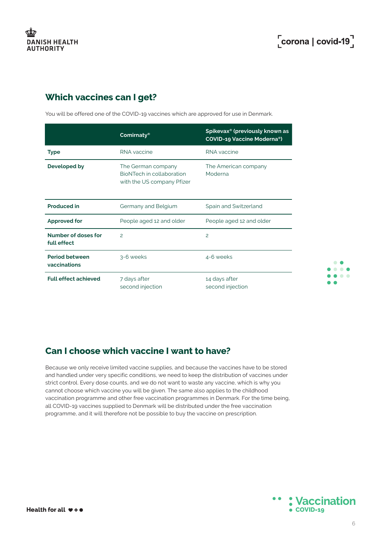$\bullet$   $\bullet$ . . . . . . . .

## **Which vaccines can I get?**

You will be offered one of the COVID-19 vaccines which are approved for use in Denmark.

|                                       | Comirnaty <sup>®</sup>                                                        | Spikevax <sup>®</sup> (previously known as<br><b>COVID-19 Vaccine Moderna®)</b> |
|---------------------------------------|-------------------------------------------------------------------------------|---------------------------------------------------------------------------------|
| <b>Type</b>                           | RNA vaccine                                                                   | RNA vaccine                                                                     |
| Developed by                          | The German company<br>BioNTech in collaboration<br>with the US company Pfizer | The American company<br>Moderna                                                 |
| <b>Produced in</b>                    | Germany and Belgium                                                           | Spain and Switzerland                                                           |
| <b>Approved for</b>                   | People aged 12 and older                                                      | People aged 12 and older                                                        |
| Number of doses for<br>full effect    | $\overline{a}$                                                                | $\overline{c}$                                                                  |
| <b>Period between</b><br>vaccinations | 3-6 weeks                                                                     | 4-6 weeks                                                                       |
| <b>Full effect achieved</b>           | 7 days after<br>second injection                                              | 14 days after<br>second injection                                               |

## **Can I choose which vaccine I want to have?**

Because we only receive limited vaccine supplies, and because the vaccines have to be stored and handled under very specific conditions, we need to keep the distribution of vaccines under strict control. Every dose counts, and we do not want to waste any vaccine, which is why you cannot choose which vaccine you will be given. The same also applies to the childhood vaccination programme and other free vaccination programmes in Denmark. For the time being, all COVID-19 vaccines supplied to Denmark will be distributed under the free vaccination programme, and it will therefore not be possible to buy the vaccine on prescription.

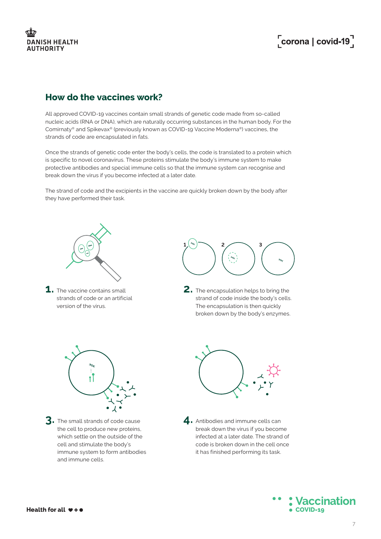## **DANISH HEALTH AUTHORITY**

# $\int$ corona | covid-19<sup>7</sup>

#### **How do the vaccines work?**

All approved COVID-19 vaccines contain small strands of genetic code made from so-called nucleic acids (RNA or DNA), which are naturally occurring substances in the human body. For the Comirnaty® and Spikevax® (previously known as COVID-19 Vaccine Moderna®) vaccines, the strands of code are encapsulated in fats.

Once the strands of genetic code enter the body's cells, the code is translated to a protein which is specific to novel coronavirus. These proteins stimulate the body's immune system to make protective antibodies and special immune cells so that the immune system can recognise and break down the virus if you become infected at a later date.

The strand of code and the excipients in the vaccine are quickly broken down by the body after they have performed their task.



**1.** The vaccine contains small strands of code or an artificial version of the virus.



**2.** The encapsulation helps to bring the strand of code inside the body's cells. The encapsulation is then quickly broken down by the body's enzymes.



**3.** The small strands of code cause the cell to produce new proteins, which settle on the outside of the cell and stimulate the body's immune system to form antibodies and immune cells.



4. Antibodies and immune cells can break down the virus if you become infected at a later date. The strand of code is broken down in the cell once it has finished performing its task.

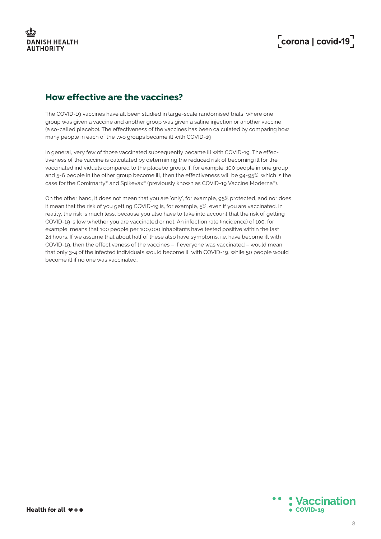#### **How effective are the vaccines?**

The COVID-19 vaccines have all been studied in large-scale randomised trials, where one group was given a vaccine and another group was given a saline injection or another vaccine (a so-called placebo). The effectiveness of the vaccines has been calculated by comparing how many people in each of the two groups became ill with COVID-19.

In general, very few of those vaccinated subsequently became ill with COVID-19. The effectiveness of the vaccine is calculated by determining the reduced risk of becoming ill for the vaccinated individuals compared to the placebo group. If, for example, 100 people in one group and 5-6 people in the other group become ill, then the effectiveness will be 94-95%, which is the case for the Comirnarty® and Spikevax® (previously known as COVID-19 Vaccine Moderna®).

On the other hand, it does not mean that you are 'only', for example, 95% protected, and nor does it mean that the risk of you getting COVID-19 is, for example, 5%, even if you are vaccinated. In reality, the risk is much less, because you also have to take into account that the risk of getting COVID-19 is low whether you are vaccinated or not. An infection rate (incidence) of 100, for example, means that 100 people per 100,000 inhabitants have tested positive within the last 24 hours. If we assume that about half of these also have symptoms, i.e. have become ill with COVID-19, then the effectiveness of the vaccines – if everyone was vaccinated – would mean that only 3-4 of the infected individuals would become ill with COVID-19, while 50 people would become ill if no one was vaccinated.

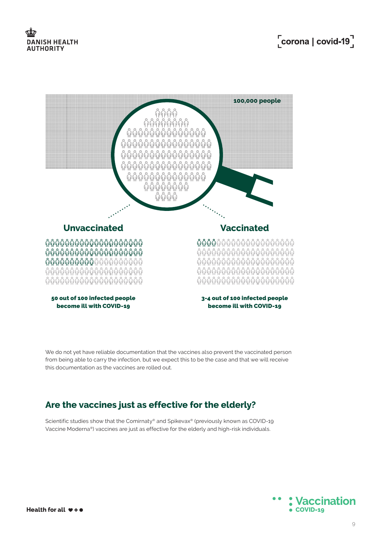## **DANISH HEALTH AUTHORITY**



We do not yet have reliable documentation that the vaccines also prevent the vaccinated person from being able to carry the infection, but we expect this to be the case and that we will receive this documentation as the vaccines are rolled out.

#### **Are the vaccines just as effective for the elderly?**

Scientific studies show that the Comirnaty® and Spikevax® (previously known as COVID-19 Vaccine Moderna®) vaccines are just as effective for the elderly and high-risk individuals.